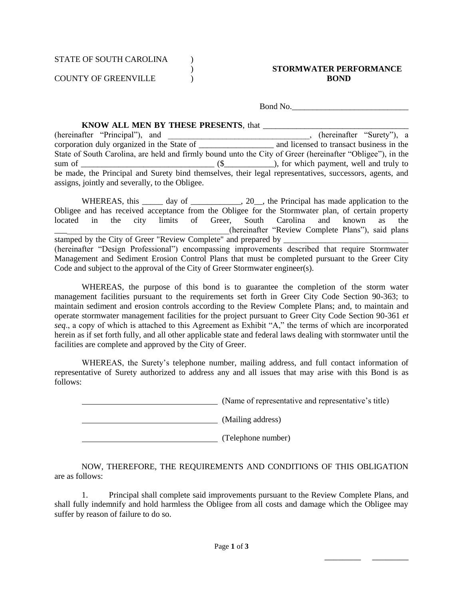COUNTY OF GREENVILLE ) **BOND**

## ) **STORMWATER PERFORMANCE**

Bond No.

\_\_\_\_\_\_\_\_ \_\_\_\_\_\_\_\_

## **KNOW ALL MEN BY THESE PRESENTS, that**

(hereinafter "Principal"), and \_\_\_\_\_\_\_\_\_\_\_\_\_\_\_\_\_\_\_\_\_\_\_\_\_\_\_\_\_\_\_\_, (hereinafter "Surety"), a corporation duly organized in the State of \_\_\_\_\_\_\_\_\_\_\_\_\_\_\_\_\_\_ and licensed to transact business in the State of South Carolina, are held and firmly bound unto the City of Greer (hereinafter "Obligee"), in the sum of \_\_\_\_\_\_\_\_\_\_\_\_\_\_\_\_\_\_\_\_\_\_\_\_\_\_\_\_\_\_\_\_ (\$\_\_\_\_\_\_\_\_\_\_\_\_), for which payment, well and truly to be made, the Principal and Surety bind themselves, their legal representatives, successors, agents, and assigns, jointly and severally, to the Obligee.

WHEREAS, this \_\_\_\_\_ day of \_\_\_\_\_\_\_\_\_\_, 20\_\_, the Principal has made application to the Obligee and has received acceptance from the Obligee for the Stormwater plan, of certain property located in the city limits of Greer, South Carolina and known as the \_\_\_\_\_\_\_\_\_\_\_\_\_\_\_\_\_\_\_\_\_\_\_\_\_\_\_\_\_\_\_\_\_\_\_\_\_\_\_\_\_\_(hereinafter "Review Complete Plans"), said plans stamped by the City of Greer "Review Complete" and prepared by (hereinafter "Design Professional") encompassing improvements described that require Stormwater Management and Sediment Erosion Control Plans that must be completed pursuant to the Greer City Code and subject to the approval of the City of Greer Stormwater engineer(s).

WHEREAS, the purpose of this bond is to guarantee the completion of the storm water management facilities pursuant to the requirements set forth in Greer City Code Section 90-363; to maintain sediment and erosion controls according to the Review Complete Plans; and, to maintain and operate stormwater management facilities for the project pursuant to Greer City Code Section 90-361 *et seq*., a copy of which is attached to this Agreement as Exhibit "A," the terms of which are incorporated herein as if set forth fully, and all other applicable state and federal laws dealing with stormwater until the facilities are complete and approved by the City of Greer.

WHEREAS, the Surety's telephone number, mailing address, and full contact information of representative of Surety authorized to address any and all issues that may arise with this Bond is as follows:

(Name of representative and representative's title)

(Mailing address)

(Telephone number)

NOW, THEREFORE, THE REQUIREMENTS AND CONDITIONS OF THIS OBLIGATION are as follows:

1. Principal shall complete said improvements pursuant to the Review Complete Plans, and shall fully indemnify and hold harmless the Obligee from all costs and damage which the Obligee may suffer by reason of failure to do so.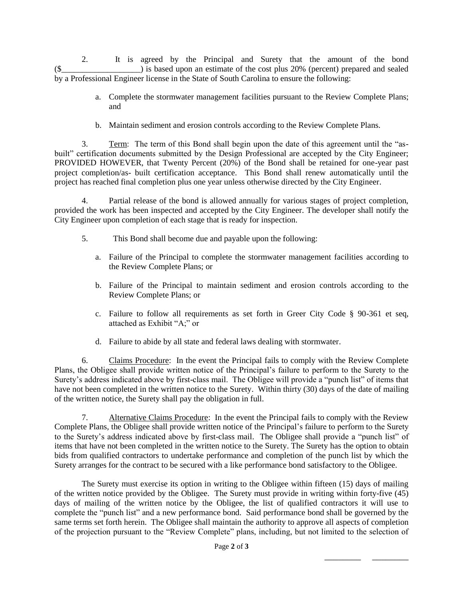2. It is agreed by the Principal and Surety that the amount of the bond  $(\text{\$}$   $)$  is based upon an estimate of the cost plus 20% (percent) prepared and sealed by a Professional Engineer license in the State of South Carolina to ensure the following:

- a. Complete the stormwater management facilities pursuant to the Review Complete Plans; and
- b. Maintain sediment and erosion controls according to the Review Complete Plans.

3. Term: The term of this Bond shall begin upon the date of this agreement until the "asbuilt" certification documents submitted by the Design Professional are accepted by the City Engineer; PROVIDED HOWEVER, that Twenty Percent (20%) of the Bond shall be retained for one-year past project completion/as- built certification acceptance. This Bond shall renew automatically until the project has reached final completion plus one year unless otherwise directed by the City Engineer.

4. Partial release of the bond is allowed annually for various stages of project completion, provided the work has been inspected and accepted by the City Engineer. The developer shall notify the City Engineer upon completion of each stage that is ready for inspection.

- 5. This Bond shall become due and payable upon the following:
	- a. Failure of the Principal to complete the stormwater management facilities according to the Review Complete Plans; or
	- b. Failure of the Principal to maintain sediment and erosion controls according to the Review Complete Plans; or
	- c. Failure to follow all requirements as set forth in Greer City Code § 90-361 et seq, attached as Exhibit "A;" or
	- d. Failure to abide by all state and federal laws dealing with stormwater.

6. Claims Procedure: In the event the Principal fails to comply with the Review Complete Plans, the Obligee shall provide written notice of the Principal's failure to perform to the Surety to the Surety's address indicated above by first-class mail. The Obligee will provide a "punch list" of items that have not been completed in the written notice to the Surety. Within thirty (30) days of the date of mailing of the written notice, the Surety shall pay the obligation in full.

7. Alternative Claims Procedure: In the event the Principal fails to comply with the Review Complete Plans, the Obligee shall provide written notice of the Principal's failure to perform to the Surety to the Surety's address indicated above by first-class mail. The Obligee shall provide a "punch list" of items that have not been completed in the written notice to the Surety. The Surety has the option to obtain bids from qualified contractors to undertake performance and completion of the punch list by which the Surety arranges for the contract to be secured with a like performance bond satisfactory to the Obligee.

The Surety must exercise its option in writing to the Obligee within fifteen (15) days of mailing of the written notice provided by the Obligee. The Surety must provide in writing within forty-five (45) days of mailing of the written notice by the Obligee, the list of qualified contractors it will use to complete the "punch list" and a new performance bond. Said performance bond shall be governed by the same terms set forth herein. The Obligee shall maintain the authority to approve all aspects of completion of the projection pursuant to the "Review Complete" plans, including, but not limited to the selection of

\_\_\_\_\_\_\_\_ \_\_\_\_\_\_\_\_